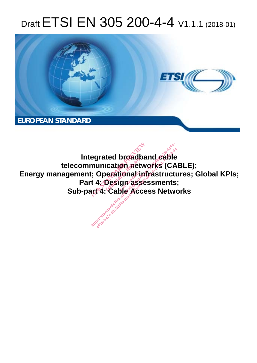# Draft ETSI EN 305 200-4-4 V1.1.1 (2018-01)



**Integrated broadband cable telecommunication networks (CABLE);**  Energy management; Operational infrastructures; Global KPIs; **Part 4: Design assessments; Sub-part 4: Cable Access Networks**  egrated broadband<br>munication network<br>i: Operational infra.<br>it 4: Design assess<br>art 4: Cable Access red proadp<br>ication net<br>erational in<br>Design ass ionari<br>gn ass<br>alo Acc egrated broadband cable<br>nunication networks (CA<br>:; Operational infrastructure<br>4: Design assessments<br>ut<sup>4</sup>: Cable Access Netwo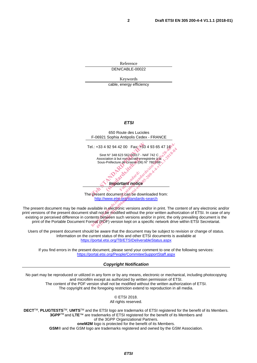Reference DEN/CABLE-00022

Keywords

cable, energy efficiency

#### *ETSI*



The present document can be downloaded from: http://www.etsi.org/standards-search

The present document may be made available in electronic versions and/or in print. The content of any electronic and/or print versions of the present document shall not be modified without the prior written authorization of ETSI. In case of any existing or perceived difference in contents between such versions and/or in print, the only prevailing document is the print of the Portable Document Format (PDF) version kept on a specific network drive within ETSI Secretariat.

Users of the present document should be aware that the document may be subject to revision or change of status. Information on the current status of this and other ETSI documents is available at https://portal.etsi.org/TB/ETSIDeliverableStatus.aspx

If you find errors in the present document, please send your comment to one of the following services: https://portal.etsi.org/People/CommiteeSupportStaff.aspx

*Copyright Notification* 

No part may be reproduced or utilized in any form or by any means, electronic or mechanical, including photocopying and microfilm except as authorized by written permission of ETSI. The content of the PDF version shall not be modified without the written authorization of ETSI. The copyright and the foregoing restriction extend to reproduction in all media.

> © ETSI 2018. All rights reserved.

**DECT**TM, **PLUGTESTS**TM, **UMTS**TM and the ETSI logo are trademarks of ETSI registered for the benefit of its Members. **3GPP**TM and **LTE**™ are trademarks of ETSI registered for the benefit of its Members and of the 3GPP Organizational Partners. **oneM2M** logo is protected for the benefit of its Members.

**GSM**® and the GSM logo are trademarks registered and owned by the GSM Association.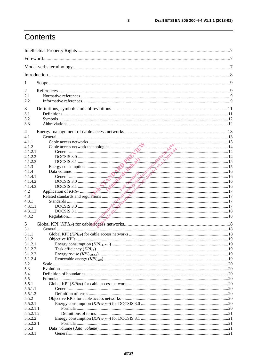## Contents

| 1                  |  |  |  |
|--------------------|--|--|--|
| 2                  |  |  |  |
| 2.1                |  |  |  |
| 2.2                |  |  |  |
| 3                  |  |  |  |
| 3.1                |  |  |  |
| 3.2                |  |  |  |
| 3.3                |  |  |  |
| 4                  |  |  |  |
| 4.1                |  |  |  |
| 4.1.1              |  |  |  |
| 4.1.2              |  |  |  |
| 4.1.2.1            |  |  |  |
| 4.1.2.2            |  |  |  |
| 4.1.2.3            |  |  |  |
| 4.1.3              |  |  |  |
| 4.1.4              |  |  |  |
| 4.1.4.1            |  |  |  |
| 4.1.4.2            |  |  |  |
| 4.1.4.3            |  |  |  |
| 4.2                |  |  |  |
| 4.3                |  |  |  |
| 4.3.1<br>4.3.1.1   |  |  |  |
| 4.3.1.2            |  |  |  |
| 4.3.2              |  |  |  |
|                    |  |  |  |
| 5                  |  |  |  |
| 5.1                |  |  |  |
| 5.1.1              |  |  |  |
| 5.1.2              |  |  |  |
| 5.1.2.1            |  |  |  |
| 5.1.2.2<br>5.1.2.3 |  |  |  |
| 5.1.2.4            |  |  |  |
| 5.2                |  |  |  |
| 5.3                |  |  |  |
| 5.4                |  |  |  |
| 5.5                |  |  |  |
| 5.5.1              |  |  |  |
| 5.5.1.1            |  |  |  |
| 5.5.1.2            |  |  |  |
| 5.5.2              |  |  |  |
| 5.5.2.1            |  |  |  |
| 5.5.2.1.1          |  |  |  |
| 5.5.2.1.2          |  |  |  |
| 5.5.2.2            |  |  |  |
| 5.5.2.2.1          |  |  |  |
| 5.5.3              |  |  |  |
| 5.5.3.1            |  |  |  |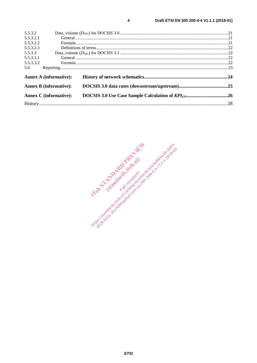| 5.5.3.2                                                        |                               |  |  |
|----------------------------------------------------------------|-------------------------------|--|--|
| 5.5.3.2.1                                                      |                               |  |  |
| 5.5.3.2.2                                                      |                               |  |  |
| 5.5.3.2.3                                                      |                               |  |  |
| 5.5.3.3                                                        |                               |  |  |
| 5.5.3.3.1                                                      |                               |  |  |
| 5.5.3.3.2                                                      |                               |  |  |
| 5.6                                                            |                               |  |  |
|                                                                | <b>Annex A (informative):</b> |  |  |
| <b>Annex B (informative):</b><br><b>Annex C</b> (informative): |                               |  |  |
|                                                                |                               |  |  |
|                                                                |                               |  |  |
|                                                                |                               |  |  |

 $\overline{\mathbf{4}}$ 

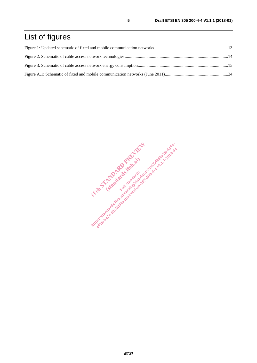# List of figures

IT and the third started and started in the started in the started in the started in the started in the started in the started in the started in the started in the started in the started in the started in the started in th Examples Religions https://standards.iteh.ai/catalogisa.html .t. 1.1.2018-44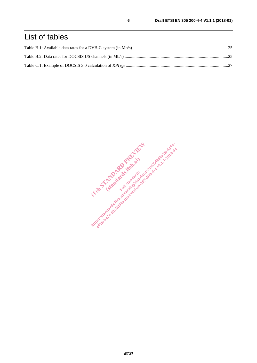### List of tables

IT and the third started and started in the started in the started in the started in the started in the started in the started in the started in the started in the started in the started in the started in the started in th Examples Religions https://standards.iteh.ai/catalogisa.html .t. 1.1.2018-44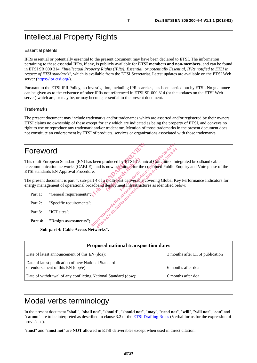### Intellectual Property Rights

#### Essential patents

IPRs essential or potentially essential to the present document may have been declared to ETSI. The information pertaining to these essential IPRs, if any, is publicly available for **ETSI members and non-members**, and can be found in ETSI SR 000 314: *"Intellectual Property Rights (IPRs); Essential, or potentially Essential, IPRs notified to ETSI in respect of ETSI standards"*, which is available from the ETSI Secretariat. Latest updates are available on the ETSI Web server (https://ipr.etsi.org/).

Pursuant to the ETSI IPR Policy, no investigation, including IPR searches, has been carried out by ETSI. No guarantee can be given as to the existence of other IPRs not referenced in ETSI SR 000 314 (or the updates on the ETSI Web server) which are, or may be, or may become, essential to the present document.

#### **Trademarks**

The present document may include trademarks and/or tradenames which are asserted and/or registered by their owners. ETSI claims no ownership of these except for any which are indicated as being the property of ETSI, and conveys no right to use or reproduce any trademark and/or tradename. Mention of those trademarks in the present document does not constitute an endorsement by ETSI of products, services or organizations associated with those trademarks.

### Foreword

This draft European Standard (EN) has been produced by ETSI Technical Committee Integrated broadband cable telecommunication networks (CABLE), and is now submitted for the combined Public Enquiry and Vote phase of the ETSI standards EN Approval Procedure. s been produced by **ETSI Technical C**<br>
(b), and is now submitted for the combi<br>
re.<br>
art 4 of a multiplart deliverable coveri<br>
badband deployment intrastructures as roduced by ETSI Tech<br>now submitted for the<br>multi-part deliverable<br>deployment intrastruct ht ps://standard.iteh.ai/catalogy.com/sist/6d869a28-4d94-2019<br>in and is now submitted for the combined Public E<br>re.<br>addband deployment.infrastructures as identified be<br>addband deployment.infrastructures as identified be<br>ad

The present document is part 4, sub-part 4 of a multi-part deliverable covering Global Key Performance Indicators for energy management of operational broadband deployment infrastructures as identified below:

- Part 1: "General requirements"
- Part 2: "Specific requirements":
- Part 3: "ICT sites":
- Part 4: "Design assessments"

**Sub-part 4: Cable Access Networks".** 

| <b>Proposed national transposition dates</b>                                              |                                 |  |  |  |
|-------------------------------------------------------------------------------------------|---------------------------------|--|--|--|
| Date of latest announcement of this EN (doa):                                             | 3 months after ETSI publication |  |  |  |
| Date of latest publication of new National Standard<br>or endorsement of this EN (dop/e): | 6 months after doa              |  |  |  |
| Date of withdrawal of any conflicting National Standard (dow):                            | 6 months after doa              |  |  |  |

### Modal verbs terminology

In the present document "**shall**", "**shall not**", "**should**", "**should not**", "**may**", "**need not**", "**will**", "**will not**", "**can**" and "**cannot**" are to be interpreted as described in clause 3.2 of the ETSI Drafting Rules (Verbal forms for the expression of provisions).

"**must**" and "**must not**" are **NOT** allowed in ETSI deliverables except when used in direct citation.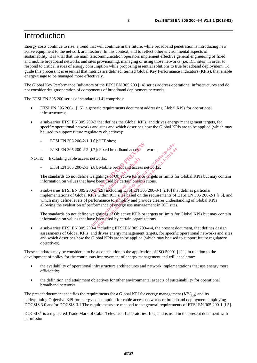#### Introduction

Energy costs continue to rise, a trend that will continue in the future, while broadband penetration is introducing new active equipment to the network architecture. In this context, and to reflect other environmental aspects of sustainability, it is vital that the main telecommunication operators implement effective general engineering of fixed and mobile broadband networks and sites provisioning, managing or using those networks (i.e. ICT sites) in order to respond to critical issues of energy consumption while proposing essential solutions to true broadband deployment. To guide this process, it is essential that metrics are defined, termed Global Key Performance Indicators (KPIs), that enable energy usage to be managed more effectively.

The Global Key Performance Indicators of the ETSI EN 305 200 [i.4] series address operational infrastructures and do not consider design/operation of components of broadband deployment networks.

The ETSI EN 305 200 series of standards [i.4] comprises:

- ETSI EN 305 200-1 [i.5]: a generic requirements document addressing Global KPIs for operational infrastructures;
- a sub-series ETSI EN 305 200-2 that defines the Global KPIs, and drives energy management targets, for specific operational networks and sites and which describes how the Global KPIs are to be applied (which may be used to support future regulatory objectives):
	- ETSI EN 305 200-2-1 [i.6]: ICT sites;
	- ETSI EN 305 200-2-2 [i.7]: Fixed broadband access networks;

NOTE: Excluding cable access networks.

ETSI EN 305 200-2-3 [i.8]: Mobile broadband access networks;

The standards do not define weightings of Objective KPIs or targets or limits for Global KPIs but may contain information on values that have been used by certain organizations. bile broadband access<br>gs af Objective KPIs of<br>used by certain organi<br>mcluding ETSI EN 30

a sub-series ETSI EN 305 200-3-1.9] including ETSI EN 305 200-3-1 [i.10] that defines particular implementations of Global KPIs within ICT sites based on the requirements of ETSI EN 305 200-2-1 [i.6], and which may define levels of performance to simplify and provide clearer understanding of Global KPIs allowing the evaluation of performance of energy use management in ICT sites. ETSI EN 305 200-2-2 [i.7]: Fixed broadband access metwork<br>
NOTE: Excluding cable access networks.<br>
ETSI EN 305 200-2-3 [i.8]: Mobile broadband access network<br>
The standards do not define weightings of Objective KePisor (ar i.7]: Fixed broadband access networks;<br>networks.<br>i.8]: Mobile breadband access networks;<br>weightings of Objective KPIs or targets or limits for<br>tworks.<br>weightings of Objective KPIs or targets or limits for<br>0.31.9] includin 1: Fixed broadband access networks;<br>works.<br>Works.<br>Things of Objective KPIs or targets or limits for the used by certain organizations.<br>H.9] meluding ETSLEN 305 200-3-1 [i.10] that within ICT sites based on the requirement

The standards do not define weightings of Objective KPIs or targets or limits for Global KPIs but may contain information on values that have been used by certain organizations.

• a sub-series ETSI EN 305 200-4 mcluding ETSI EN 305 200-4-4, the present document, that defines design assessments of Global KPIs, and drives energy management targets, for specific operational networks and sites and which describes how the Global KPIs are to be applied (which may be used to support future regulatory objectives).

These standards may be considered to be a contribution to the application of ISO 50001 [i.11] in relation to the development of policy for the continuous improvement of energy management and will accelerate:

- the availability of operational infrastructure architectures and network implementations that use energy more efficiently;
- the definition and attainment objectives for other environmental aspects of sustainability for operational broadband networks.

The present document specifies the requirements for a Global KPI for energy management  $(KPI<sub>EM</sub>)$  and its underpinning Objective KPI for energy consumption for cable access networks of broadband deployment employing DOCSIS 3.0 and/or DOCSIS 3.1.The requirements are mapped to the general requirements of ETSI EN 305 200-1 [i.5].

DOCSIS® is a registered Trade Mark of Cable Television Laboratories, Inc., and is used in the present document with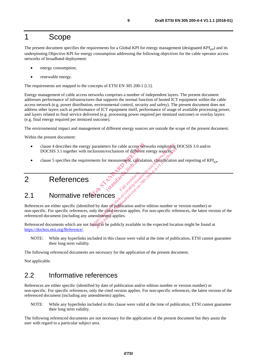#### 1 Scope

The present document specifies the requirements for a Global KPI for energy management (designated  $KPI_{FD}$ ) and its underpinning Objective KPI for energy consumption addressing the following objectives for the cable operator access networks of broadband deployment:

- energy consumption;
- renewable energy.

The requirements are mapped to the concepts of ETSI EN 305 200-1 [i.5].

Energy management of cable access networks comprises a number of independent layers. The present document addresses performance of infrastructures that supports the normal function of hosted ICT equipment within the cable access network (e.g. power distribution, environmental control, security and safety). The present document does not address other layers such as performance of ICT equipment itself, performance of usage of available processing power, and layers related to final service delivered (e.g. processing power required per itemized outcome) or overlay layers (e.g. final energy required per itemized outcome).

The environmental impact and management of different energy sources are outside the scope of the present document.

Within the present document:

- clause 4 describes the energy parameters for cable access networks employing DOCSIS 3.0 and/or DOCSIS 3.1 together with inclusions/exclusions of different energy sources; parameters for cable access networks<br>clusions/exclusions of different energy<br>ments for measurement, cadculation, car<br>ments for measurement, cadculation, car<br>start of the start of the start of the start of the start of the
- examples. Consideration and reporting of *KPI<sub>EP</sub>.*<br>
References and standards. Consideration and reporting of *KPI<sub>EP</sub>.*<br>
(standards.ite) standards.

#### 2 References

#### 2.1 Normative references

References are either specific (identified by date of publication and/or edition number or version number) or non-specific. For specific references, only the cited version applies. For non-specific references, the latest version of the referenced document (including any amendments) applies. parameters for cable access networks employing I<br>clusions/exclusions of different energy sources:<br>ments for measurement, calculation, caserification<br>ments for measurement, calculation, caserification<br> $\frac{1}{2}$ <br> $\frac{1}{2}$ <br> $\$ experience of publication and/or edition number or<br>the determined of the publication<br>by date of publication and/or edition number or<br>the determined and also seed the publication<br>of the determine papiles. For non-specific r

Factor Standard

Referenced documents which are not found to be publicly available in the expected location might be found at https://docbox.etsi.org/Reference/.

NOTE: While any hyperlinks included in this clause were valid at the time of publication, ETSI cannot guarantee their long term validity.

The following referenced documents are necessary for the application of the present document.

Not applicable.

#### 2.2 Informative references

References are either specific (identified by date of publication and/or edition number or version number) or non-specific. For specific references, only the cited version applies. For non-specific references, the latest version of the referenced document (including any amendments) applies.

NOTE: While any hyperlinks included in this clause were valid at the time of publication, ETSI cannot guarantee their long term validity.

The following referenced documents are not necessary for the application of the present document but they assist the user with regard to a particular subject area.